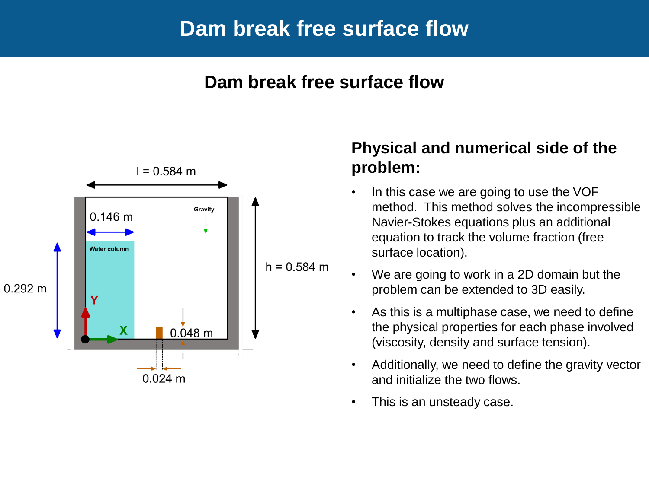### **Dam break free surface flow**



### **Physical and numerical side of the problem:**

- In this case we are going to use the VOF method. This method solves the incompressible Navier-Stokes equations plus an additional equation to track the volume fraction (free surface location).
- We are going to work in a 2D domain but the problem can be extended to 3D easily.
- As this is a multiphase case, we need to define the physical properties for each phase involved (viscosity, density and surface tension).
- Additionally, we need to define the gravity vector and initialize the two flows.
- This is an unsteady case.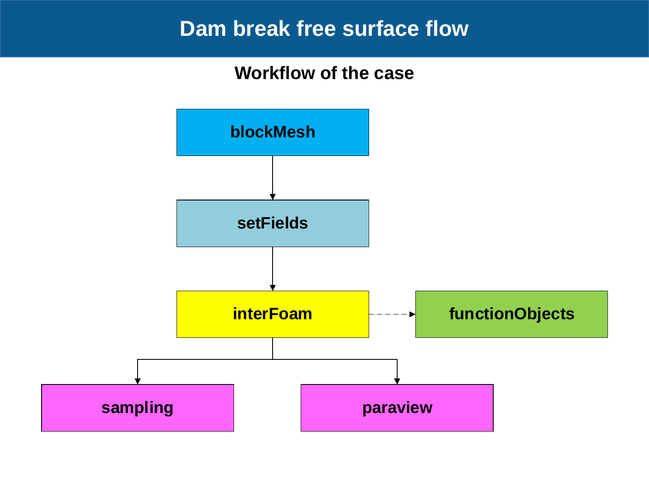### **Workflow of the case**

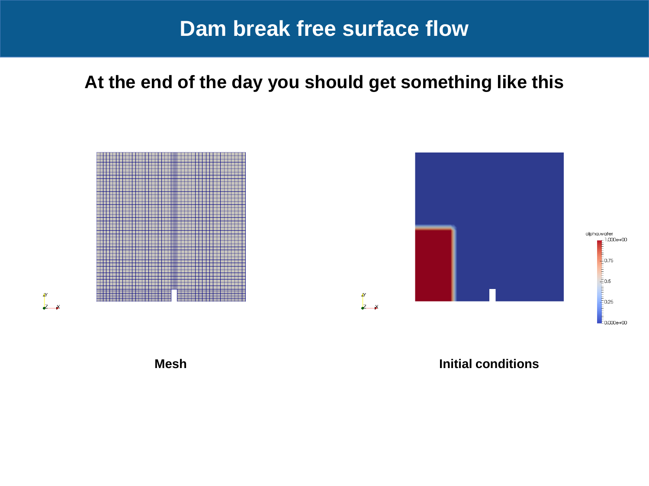**At the end of the day you should get something like this**





**Mesh Initial conditions**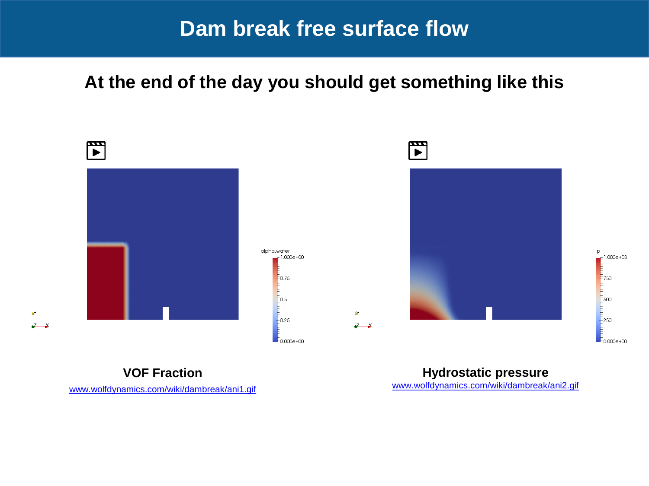### **At the end of the day you should get something like this**



[www.wolfdynamics.com/wiki/dambreak/ani1.gif](http://www.wolfdynamics.com/wiki/dambreak/ani1.gif)

ě۲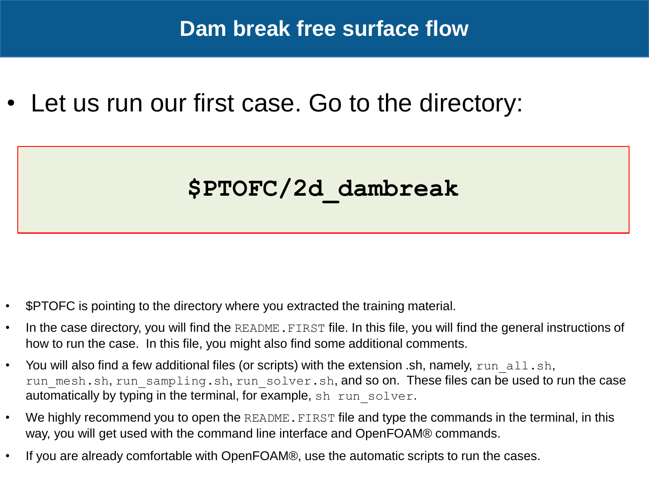Let us run our first case. Go to the directory:

# **\$PTOFC/2d\_dambreak**

- \$PTOFC is pointing to the directory where you extracted the training material.
- In the case directory, you will find the README. FIRST file. In this file, you will find the general instructions of how to run the case. In this file, you might also find some additional comments.
- You will also find a few additional files (or scripts) with the extension  $\Delta$ sh, namely, run all.sh, run mesh.sh, run sampling.sh, run solver.sh, and so on. These files can be used to run the case automatically by typing in the terminal, for example, sh run solver.
- We highly recommend you to open the README. FIRST file and type the commands in the terminal, in this way, you will get used with the command line interface and OpenFOAM® commands.
- If you are already comfortable with OpenFOAM®, use the automatic scripts to run the cases.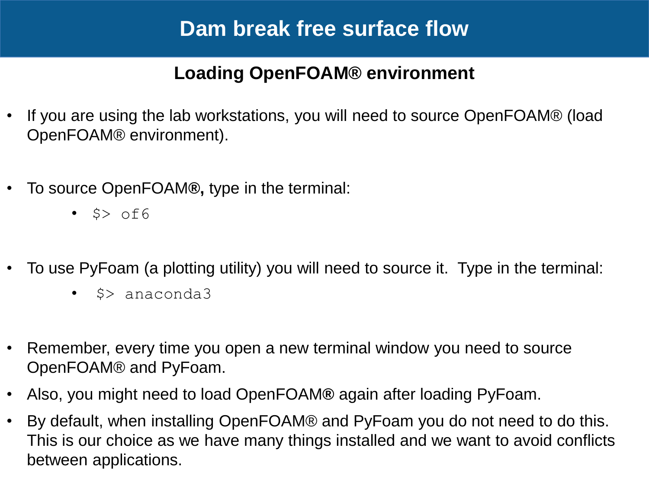### **Loading OpenFOAM® environment**

- If you are using the lab workstations, you will need to source OpenFOAM® (load OpenFOAM® environment).
- To source OpenFOAM**®,** type in the terminal:
	- $\cdot$  \$> of6
- To use PyFoam (a plotting utility) you will need to source it. Type in the terminal:
	- \$> anaconda3
- Remember, every time you open a new terminal window you need to source OpenFOAM® and PyFoam.
- Also, you might need to load OpenFOAM**®** again after loading PyFoam.
- By default, when installing OpenFOAM® and PyFoam you do not need to do this. This is our choice as we have many things installed and we want to avoid conflicts between applications.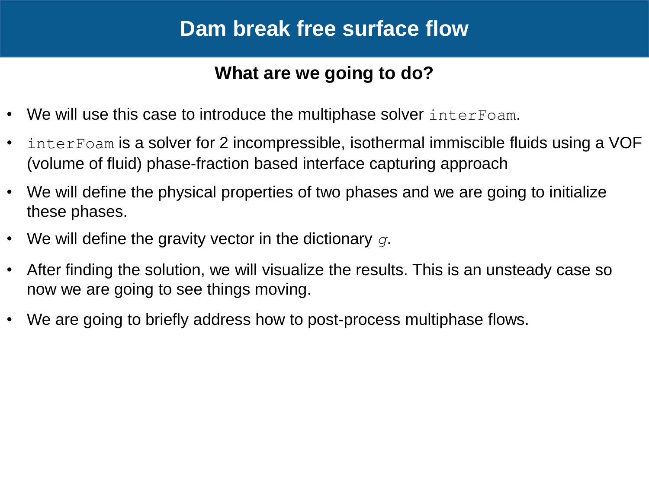### **What are we going to do?**

- We will use this case to introduce the multiphase solver interFoam.
- interFoam is a solver for 2 incompressible, isothermal immiscible fluids using a VOF (volume of fluid) phase-fraction based interface capturing approach
- We will define the physical properties of two phases and we are going to initialize these phases.
- We will define the gravity vector in the dictionary *g*.
- After finding the solution, we will visualize the results. This is an unsteady case so now we are going to see things moving.
- We are going to briefly address how to post-process multiphase flows.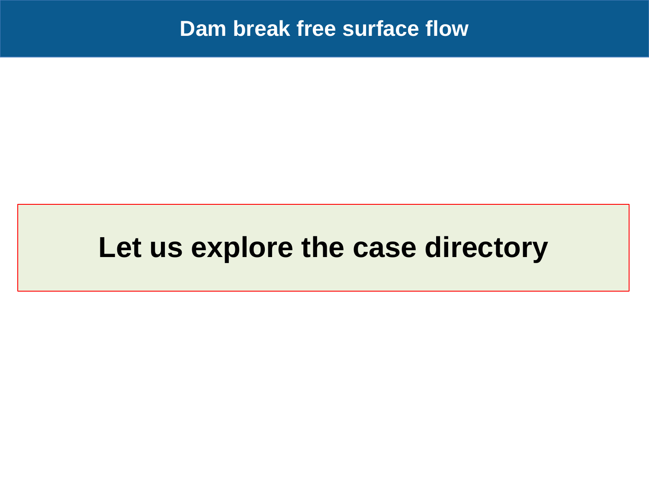# **Let us explore the case directory**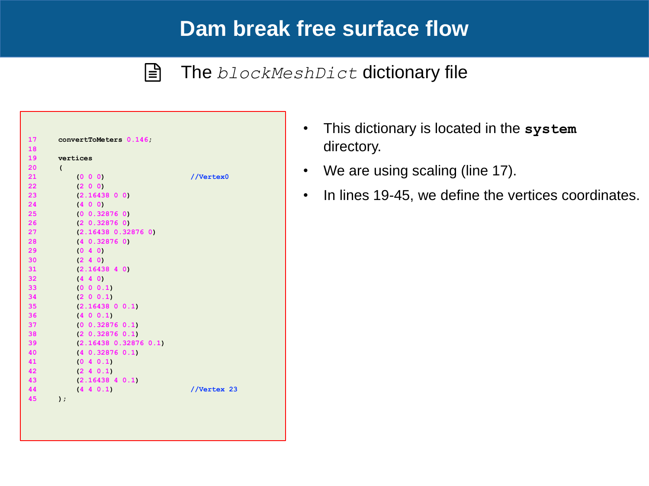$|\exists$ 

### The *blockMeshDict* dictionary file

| 17 | convertToMeters 0.146;   |             |
|----|--------------------------|-------------|
| 18 |                          |             |
| 19 | vertices                 |             |
| 20 | $\overline{\phantom{a}}$ |             |
| 21 | (0 0 0)                  | //Vertex0   |
| 22 | (2 0 0)                  |             |
| 23 | (2.16438 0 0)            |             |
| 24 | (400)                    |             |
| 25 | (0 0.32876 0)            |             |
| 26 | $(2\ 0.32876\ 0)$        |             |
| 27 | (2.16438 0.32876 0)      |             |
| 28 | $(4\ 0.32876\ 0)$        |             |
| 29 | (0, 4, 0)                |             |
| 30 | (2 4 0)                  |             |
| 31 | (2.1643840)              |             |
| 32 | (4 4 0)                  |             |
| 33 | (0 0 0.1)                |             |
| 34 | (2 0 0.1)                |             |
| 35 | (2.16438 0 0.1)          |             |
| 36 | (400.1)                  |             |
| 37 | (0 0.32876 0.1)          |             |
| 38 | $(2\ 0.32876\ 0.1)$      |             |
| 39 | (2.16438 0.32876 0.1)    |             |
| 40 | $(4\ 0.32876\ 0.1)$      |             |
| 41 | (0, 4, 0.1)              |             |
| 42 | (2, 4, 0.1)              |             |
| 43 | (2.16438 4 0.1)          |             |
| 44 | (4 4 0.1)                | //Vertex 23 |
| 45 | $\mathbf{)}$ ;           |             |
|    |                          |             |

- This dictionary is located in the **system**  directory.
- We are using scaling (line 17).
- In lines 19-45, we define the vertices coordinates.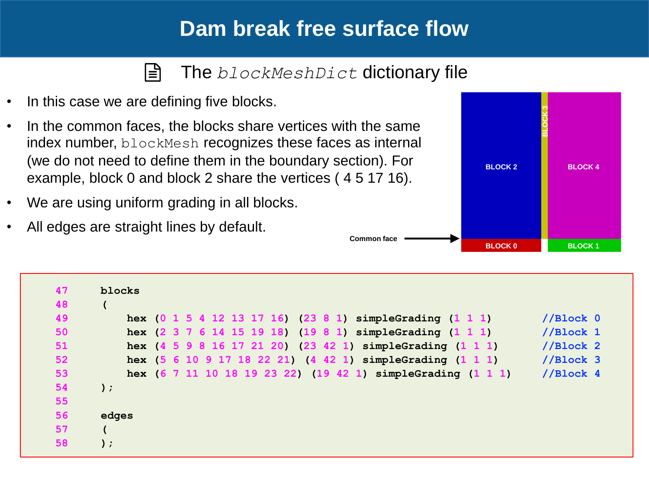#### The *blockMeshDict* dictionary file l≣ੀ

- In this case we are defining five blocks.
- In the common faces, the blocks share vertices with the same index number, blockMesh recognizes these faces as internal (we do not need to define them in the boundary section). For example, block 0 and block 2 share the vertices ( 4 5 17 16).
- We are using uniform grading in all blocks.
- All edges are straight lines by default.



| 47 | blocks        |                                                             |                      |
|----|---------------|-------------------------------------------------------------|----------------------|
| 48 |               |                                                             |                      |
| 49 |               | hex (0 1 5 4 12 13 17 16) (23 8 1) simpleGrading (1 1 1)    | //Block 0            |
| 50 |               | hex (2 3 7 6 14 15 19 18) (19 8 1) simpleGrading (1 1 1)    | //Block 1            |
| 51 |               | hex (4 5 9 8 16 17 21 20) (23 42 1) simpleGrading (1 1 1)   | //Block 2            |
| 52 |               | hex (5 6 10 9 17 18 22 21) (4 42 1) simpleGrading (1 1 1)   | //Block <sub>3</sub> |
| 53 |               | hex (6 7 11 10 18 19 23 22) (19 42 1) simpleGrading (1 1 1) | //Block <sub>4</sub> |
| 54 | $\mathcal{E}$ |                                                             |                      |
| 55 |               |                                                             |                      |
| 56 | edges         |                                                             |                      |
| 57 |               |                                                             |                      |
| 58 | );            |                                                             |                      |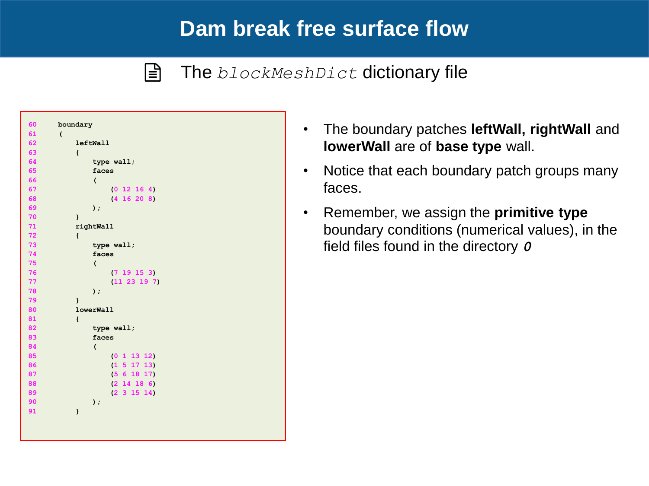l≣ੀ

### The *blockMeshDict* dictionary file

| 60 | boundary                 |
|----|--------------------------|
| 61 | $\overline{ }$           |
| 62 | <b>leftWall</b>          |
| 63 | $\mathbf{f}$             |
| 64 | type wall;               |
| 65 | faces                    |
| 66 | $\overline{\phantom{a}}$ |
| 67 | (0 12 16 4)              |
| 68 | (4 16 20 8)              |
| 69 | $)$ ;                    |
| 70 | <sup>}</sup>             |
| 71 | rightWall                |
| 72 | $\mathbf{f}$             |
| 73 | type wall;               |
| 74 | faces                    |
| 75 | $\overline{\phantom{a}}$ |
| 76 | (719153)                 |
| 77 | (11 23 19 7)             |
| 78 | $)$ ;                    |
| 79 | $\mathbf{I}$             |
| 80 | lowerWall                |
| 81 | $\mathbf{f}$             |
| 82 | type wall;               |
| 83 | faces                    |
| 84 | $\overline{(}$           |
| 85 | (0 1 13 12)              |
| 86 | (1 5 17 13)              |
| 87 | (5 6 18 17)              |
| 88 | (2 14 18 6)              |
| 89 | (2 3 15 14)              |
| 90 | $\mathbf{)}$ ;           |
| 91 | $\mathbf{I}$             |
|    |                          |

- The boundary patches **leftWall, rightWall** and **lowerWall** are of **base type** wall.
- Notice that each boundary patch groups many faces.
- Remember, we assign the **primitive type**  boundary conditions (numerical values), in the field files found in the directory *0*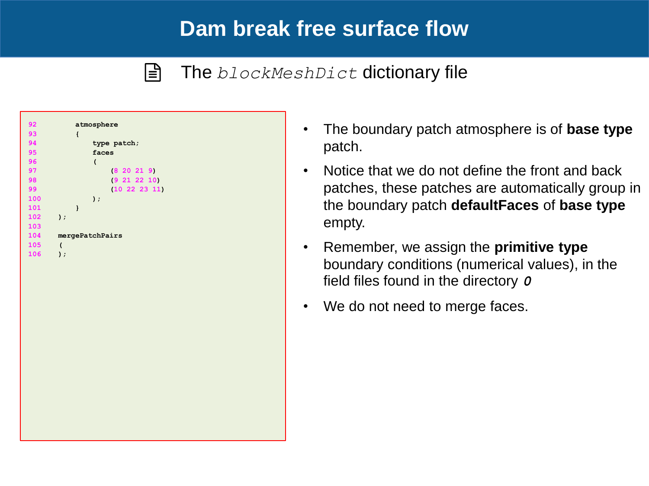l≣ੀ

### The *blockMeshDict* dictionary file

| 92  | atmosphere      |  |
|-----|-----------------|--|
| 93  | $\mathfrak{t}$  |  |
| 94  | type patch;     |  |
| 95  | faces           |  |
| 96  | $\overline{ }$  |  |
| 97  | (8 20 21 9)     |  |
| 98  | (9 21 22 10)    |  |
| 99  | (10 22 23 11)   |  |
| 100 | $)$ ;           |  |
| 101 | $\mathbf{I}$    |  |
| 102 | $)$ ;           |  |
| 103 |                 |  |
| 104 | mergePatchPairs |  |
| 105 | $\overline{ }$  |  |
| 106 | $\lambda$ ;     |  |
|     |                 |  |
|     |                 |  |
|     |                 |  |
|     |                 |  |
|     |                 |  |
|     |                 |  |
|     |                 |  |
|     |                 |  |
|     |                 |  |
|     |                 |  |
|     |                 |  |
|     |                 |  |
|     |                 |  |
|     |                 |  |
|     |                 |  |
|     |                 |  |
|     |                 |  |
|     |                 |  |
|     |                 |  |
|     |                 |  |
|     |                 |  |

- The boundary patch atmosphere is of **base type**  patch.
- Notice that we do not define the front and back patches, these patches are automatically group in the boundary patch **defaultFaces** of **base type**  empty.
- Remember, we assign the **primitive type**  boundary conditions (numerical values), in the field files found in the directory *0*
- We do not need to merge faces.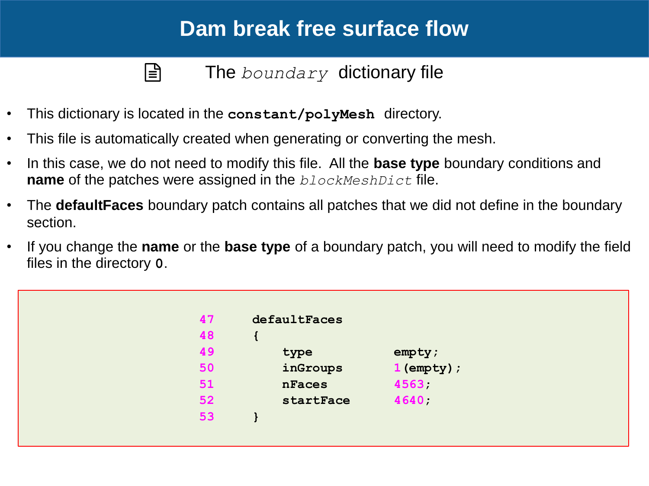```
|\exists
```
The *boundary* dictionary file

- This dictionary is located in the **constant/polyMesh** directory.
- This file is automatically created when generating or converting the mesh.
- In this case, we do not need to modify this file. All the **base type** boundary conditions and **name** of the patches were assigned in the *blockMeshDict* file.
- The **defaultFaces** boundary patch contains all patches that we did not define in the boundary section.
- If you change the **name** or the **base type** of a boundary patch, you will need to modify the field files in the directory **0**.

| 47 | defaultFaces |               |  |
|----|--------------|---------------|--|
| 48 |              |               |  |
| 49 | type         | empty;        |  |
| 50 | inGroups     | $1$ (empty) ; |  |
| 51 | nFaces       | 4563          |  |
| 52 | startFace    | 4640          |  |
| 53 |              |               |  |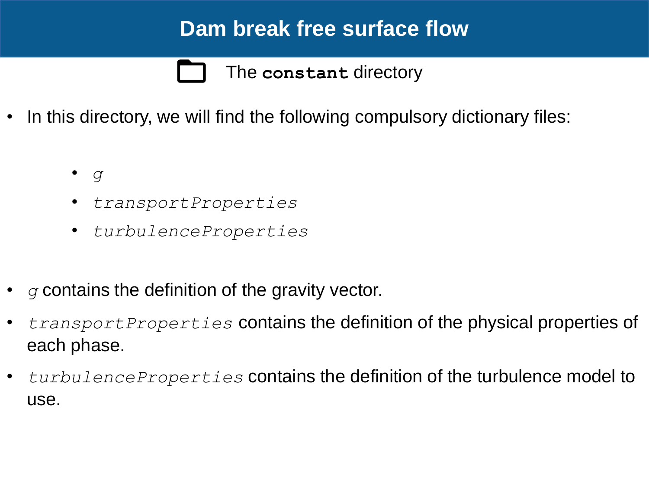The **constant** directory

- In this directory, we will find the following compulsory dictionary files:
	- *g*
	- *transportProperties*
	- *turbulenceProperties*
- *g* contains the definition of the gravity vector.
- *transportProperties* contains the definition of the physical properties of each phase.
- *turbulenceProperties* contains the definition of the turbulence model to use.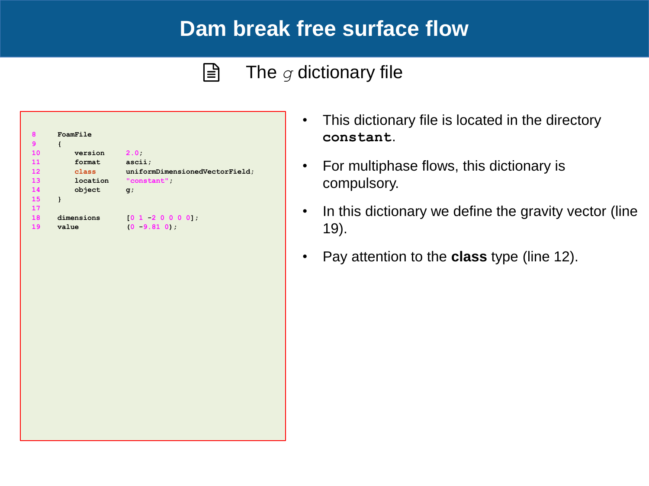#### $\mathbf{E}$ The *g* dictionary file

| 8                 | FoamFile   |                                |
|-------------------|------------|--------------------------------|
| 9                 | ł          |                                |
| 10                | version    | 2.0                            |
| 11                | format     | ascii;                         |
| $12 \overline{ }$ | class      | uniformDimensionedVectorField; |
| 13                | location   | "constant"                     |
| 14                | object     | $q$ ;                          |
| 15                | ł          |                                |
| 17                |            |                                |
| 18                | dimensions | [0 1 2 0 0 0 0];               |
| 19                | value      | $(0 - 9.81 0)$ ;               |

- This dictionary file is located in the directory **constant**.
- For multiphase flows, this dictionary is compulsory.
- In this dictionary we define the gravity vector (line 19).
- Pay attention to the **class** type (line 12).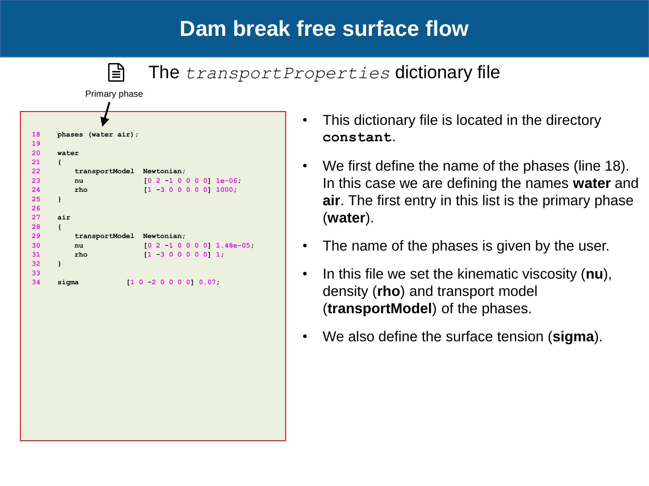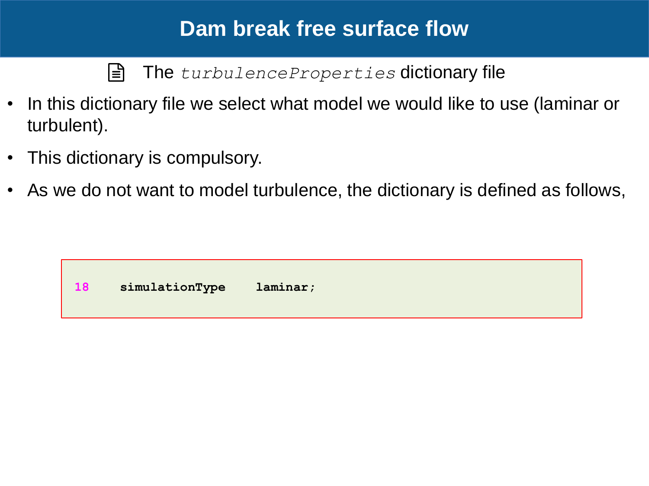l≣ੀ The *turbulenceProperties* dictionary file

- In this dictionary file we select what model we would like to use (laminar or turbulent).
- This dictionary is compulsory.
- As we do not want to model turbulence, the dictionary is defined as follows,

**18 simulationType laminar;**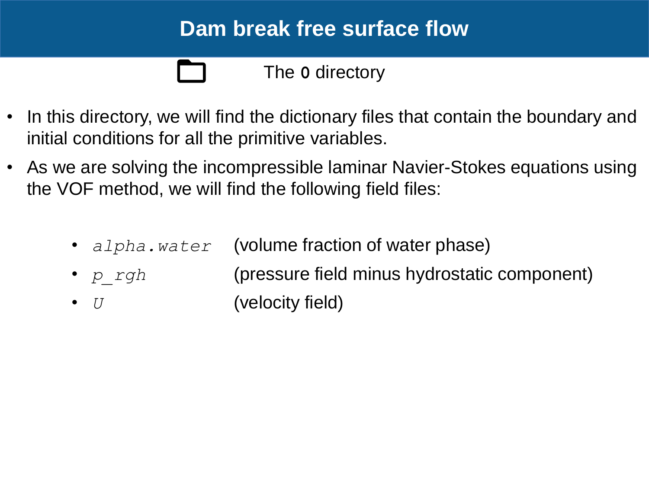### The **0** directory

- In this directory, we will find the dictionary files that contain the boundary and initial conditions for all the primitive variables.
- As we are solving the incompressible laminar Navier-Stokes equations using the VOF method, we will find the following field files:
	- *alpha.water* (volume fraction of water phase)
	- *p\_rgh* (pressure field minus hydrostatic component)
	- *U* (velocity field)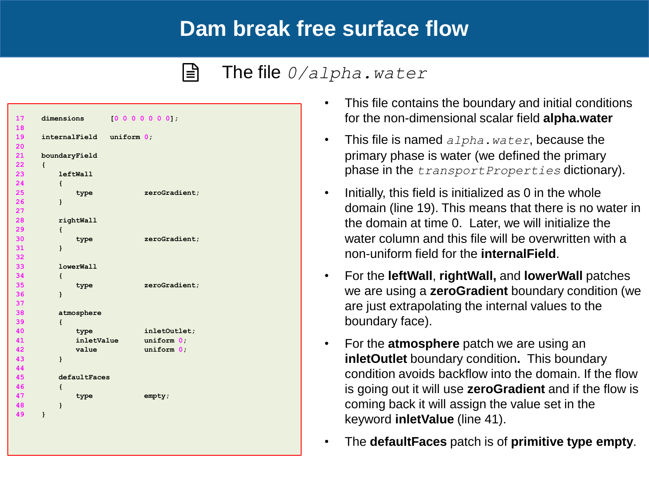#### $|\exists$ The file *0/alpha.water*

| 17 | dimensions               | $[0 0 0 0 0 0 0]$ ; |
|----|--------------------------|---------------------|
| 18 |                          |                     |
| 19 | internalField uniform 0; |                     |
| 20 |                          |                     |
| 21 | boundaryField            |                     |
| 22 | $\mathbf{f}$             |                     |
| 23 | <b>leftWall</b>          |                     |
| 24 | $\mathbf{f}$             |                     |
| 25 | type                     | zeroGradient;       |
| 26 | }                        |                     |
| 27 |                          |                     |
| 28 | rightWall                |                     |
| 29 | $\mathcal{L}$            |                     |
| 30 | type                     | zeroGradient;       |
| 31 | $\mathbf{1}$             |                     |
| 32 |                          |                     |
| 33 | <b>lowerWall</b>         |                     |
| 34 | $\mathbf{f}$             |                     |
| 35 | type                     | zeroGradient;       |
| 36 | $\mathbf{I}$             |                     |
| 37 |                          |                     |
| 38 | atmosphere               |                     |
| 39 | $\mathbf{f}$             |                     |
| 40 | type                     | inletOutlet;        |
| 41 | inletValue               | uniform 0;          |
| 42 | value                    | uniform 0:          |
| 43 | $\mathbf{1}$             |                     |
| 44 |                          |                     |
| 45 | defaultFaces             |                     |
| 46 | $\mathcal{L}$            |                     |
| 47 | type                     | empty;              |
| 48 | $\mathbf{1}$             |                     |
| 49 | $\mathbf{I}$             |                     |
|    |                          |                     |
|    |                          |                     |
|    |                          |                     |

- This file contains the boundary and initial conditions for the non-dimensional scalar field **alpha.water**
- This file is named *alpha.water*, because the primary phase is water (we defined the primary phase in the *transportProperties* dictionary).
- Initially, this field is initialized as 0 in the whole domain (line 19). This means that there is no water in the domain at time 0. Later, we will initialize the water column and this file will be overwritten with a non-uniform field for the **internalField**.
- For the **leftWall**, **rightWall,** and **lowerWall** patches we are using a **zeroGradient** boundary condition (we are just extrapolating the internal values to the boundary face).
- For the **atmosphere** patch we are using an **inletOutlet** boundary condition**.** This boundary condition avoids backflow into the domain. If the flow is going out it will use **zeroGradient** and if the flow is coming back it will assign the value set in the keyword **inletValue** (line 41).
- The **defaultFaces** patch is of **primitive type empty**.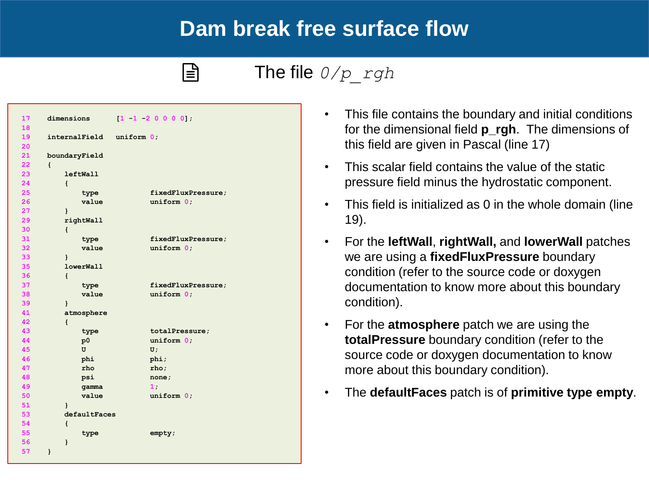### The file *0/p\_rgh*

| 17 | dimensions               | $[1 \ 1 \ 2 \ 0 \ 0 \ 0 \ 0],$ |
|----|--------------------------|--------------------------------|
| 18 |                          |                                |
| 19 | internalField uniform 0; |                                |
| 20 |                          |                                |
| 21 | boundaryField            |                                |
| 22 | $\left\{ \right.$        |                                |
| 23 | <b>leftWall</b>          |                                |
| 24 | $\mathbf{f}$             |                                |
| 25 | type                     | fixedFluxPressure;             |
| 26 | value                    | uniform 0;                     |
| 27 | $\mathbf{1}$             |                                |
| 29 | rightWall                |                                |
| 30 | $\mathbf{f}$             |                                |
| 31 | type                     | fixedFluxPressure;             |
| 32 | value                    | uniform 0:                     |
| 33 | $\mathbf{1}$             |                                |
| 35 | lowerWall                |                                |
| 36 | $\mathbf{f}$             |                                |
| 37 | type                     | fixedFluxPressure;             |
| 38 | value                    | uniform 0;                     |
| 39 | ł                        |                                |
| 41 | atmosphere               |                                |
| 42 | $\mathbf{f}$             |                                |
| 43 | type                     | totalPressure;                 |
| 44 | p0                       | uniform 0;                     |
| 45 | U                        | U;                             |
| 46 | phi                      | phi;                           |
| 47 | rho                      | rho;                           |
| 48 | psi                      | none;                          |
| 49 | gamma                    | 1:                             |
| 50 | value                    | uniform 0;                     |
| 51 | }                        |                                |
| 53 | defaultFaces             |                                |
| 54 | $\mathbf{f}$             |                                |
| 55 | type                     | empty;                         |
| 56 | ł                        |                                |
| 57 | $\mathbf{I}$             |                                |
|    |                          |                                |

 $|\exists|$ 

- This file contains the boundary and initial conditions for the dimensional field **p\_rgh**. The dimensions of this field are given in Pascal (line 17)
- This scalar field contains the value of the static pressure field minus the hydrostatic component.
- This field is initialized as 0 in the whole domain (line 19).
- For the **leftWall**, **rightWall,** and **lowerWall** patches we are using a **fixedFluxPressure** boundary condition (refer to the source code or doxygen documentation to know more about this boundary condition).
- For the **atmosphere** patch we are using the **totalPressure** boundary condition (refer to the source code or doxygen documentation to know more about this boundary condition).
- The **defaultFaces** patch is of **primitive type empty**.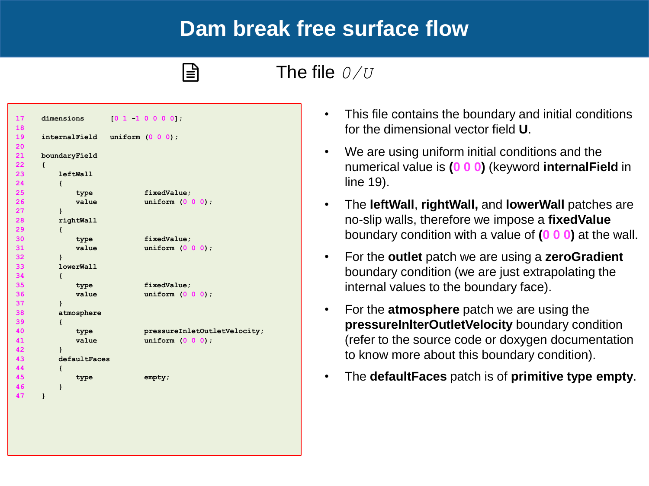The file *0/U*

| 17              | dimensions                     | [0 1 1 0 0 0 0];             |
|-----------------|--------------------------------|------------------------------|
| 18              |                                |                              |
| 19              | internalField uniform (0 0 0); |                              |
| 20              |                                |                              |
| 21              | boundaryField                  |                              |
| 22 <sub>2</sub> | $\left\{ \right.$              |                              |
| 23              | <b>leftWall</b>                |                              |
| 24              | $\left\{ \right.$              |                              |
| 25              | type                           | fixedValue;                  |
| 26              | value                          | uniform $(0 0 0)$ ;          |
| 27              | $\mathbf{I}$                   |                              |
| 28              | rightWall                      |                              |
| 29              | $\mathbf{f}$                   |                              |
| 30              | type                           | fixedValue;                  |
| 31              | value                          | uniform $(0\ 0\ 0)$ ;        |
| 32              | $\mathbf{I}$                   |                              |
| 33              | <b>lowerWall</b>               |                              |
| 34              | $\left\{ \right.$              |                              |
| 35              | type                           | fixedValue;                  |
| 36              | value                          | uniform $(0 0 0)$ ;          |
| 37              | $\mathbf{I}$                   |                              |
| 38              | atmosphere                     |                              |
| 39              | $\mathbf{f}$                   |                              |
| 40              | type                           | pressureInletOutletVelocity; |
| 41              | value                          | uniform $(0 0 0)$ ;          |
| 42              | $\mathbf{1}$                   |                              |
| 43              | defaultFaces                   |                              |
| 44              | $\mathbf{f}$                   |                              |
| 45              | type                           | empty;                       |
| 46              | $\mathbf{I}$                   |                              |
| 47              | $\mathbf{1}$                   |                              |
|                 |                                |                              |
|                 |                                |                              |
|                 |                                |                              |

 $|\exists|$ 

- This file contains the boundary and initial conditions for the dimensional vector field **U**.
- We are using uniform initial conditions and the numerical value is **(0 0 0)** (keyword **internalField** in line 19).
- The **leftWall**, **rightWall,** and **lowerWall** patches are no-slip walls, therefore we impose a **fixedValue**  boundary condition with a value of **(0 0 0)** at the wall.
- For the **outlet** patch we are using a **zeroGradient** boundary condition (we are just extrapolating the internal values to the boundary face).
- For the **atmosphere** patch we are using the **pressureInlterOutletVelocity** boundary condition (refer to the source code or doxygen documentation to know more about this boundary condition).
- The **defaultFaces** patch is of **primitive type empty**.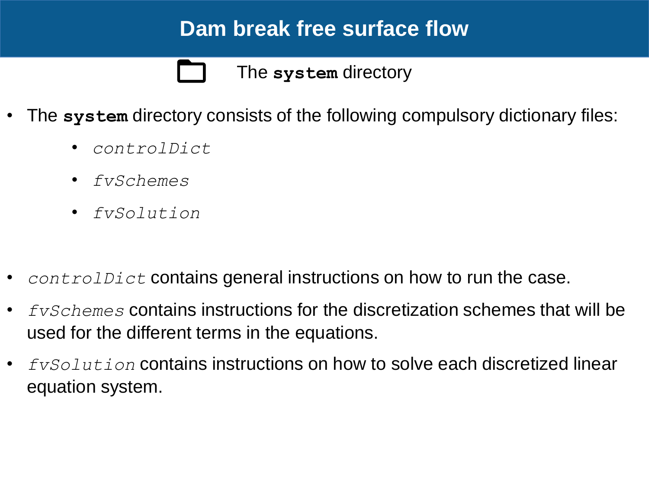The **system** directory

- The **system** directory consists of the following compulsory dictionary files:
	- *controlDict*
	- *fvSchemes*
	- *fvSolution*
- *controlDict* contains general instructions on how to run the case.
- *fvSchemes* contains instructions for the discretization schemes that will be used for the different terms in the equations.
- *fvSolution* contains instructions on how to solve each discretized linear equation system.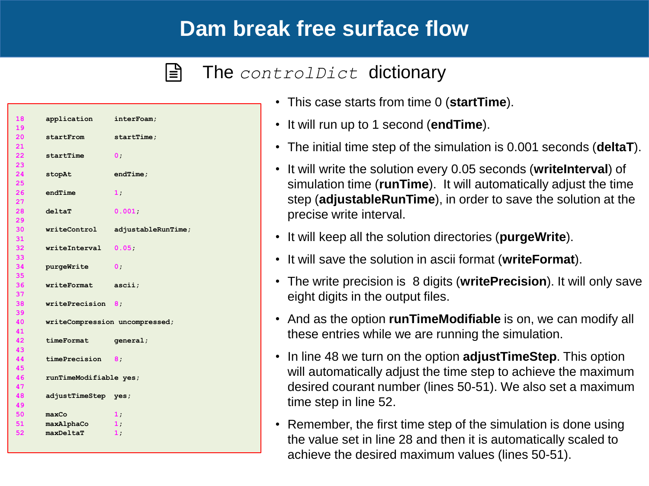#### $|\exists|$ The *controlDict* dictionary

```
18 application interFoam;
19 
20 startFrom startTime;
21 
22 startTime 0;
23 
24 stopAt endTime;
25 
26 endTime 1;
27 
28 deltaT 0.001;
29 
30 writeControl adjustableRunTime;
31 
32 writeInterval 0.05;
33 
34 purgeWrite 0;
35 
36 writeFormat ascii;
37 
38 writePrecision 8;
39 
40 writeCompression uncompressed;
41 
42 timeFormat general;
43 
44 timePrecision 8;
45 
46 runTimeModifiable yes;
47 
48 adjustTimeStep yes;
49 
50 maxCo 1;
51 maxAlphaCo 1;
52 maxDeltaT 1;
```
- This case starts from time 0 (**startTime**).
- It will run up to 1 second (**endTime**).
- The initial time step of the simulation is 0.001 seconds (**deltaT**).
- It will write the solution every 0.05 seconds (**writeInterval**) of simulation time (**runTime**). It will automatically adjust the time step (**adjustableRunTime**), in order to save the solution at the precise write interval.
- It will keep all the solution directories (**purgeWrite**).
- It will save the solution in ascii format (**writeFormat**).
- The write precision is 8 digits (**writePrecision**). It will only save eight digits in the output files.
- And as the option **runTimeModifiable** is on, we can modify all these entries while we are running the simulation.
- In line 48 we turn on the option **adjustTimeStep**. This option will automatically adjust the time step to achieve the maximum desired courant number (lines 50-51). We also set a maximum time step in line 52.
- Remember, the first time step of the simulation is done using the value set in line 28 and then it is automatically scaled to achieve the desired maximum values (lines 50-51).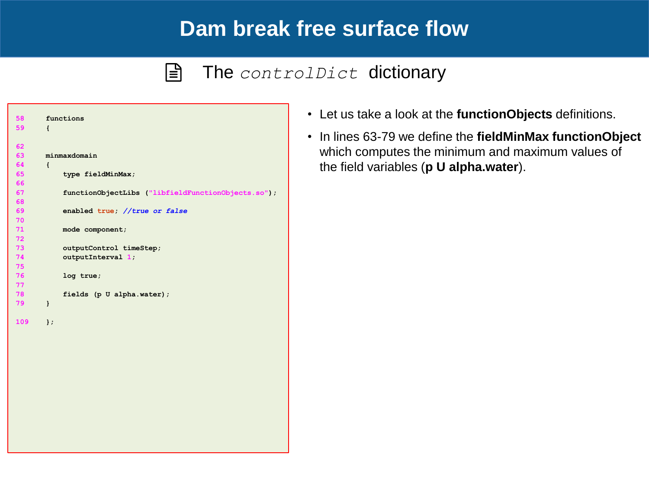#### The *controlDict* dictionary  $|\exists$



- Let us take a look at the **functionObjects** definitions.
- In lines 63-79 we define the **fieldMinMax functionObject**  which computes the minimum and maximum values of the field variables (**p U alpha.water**).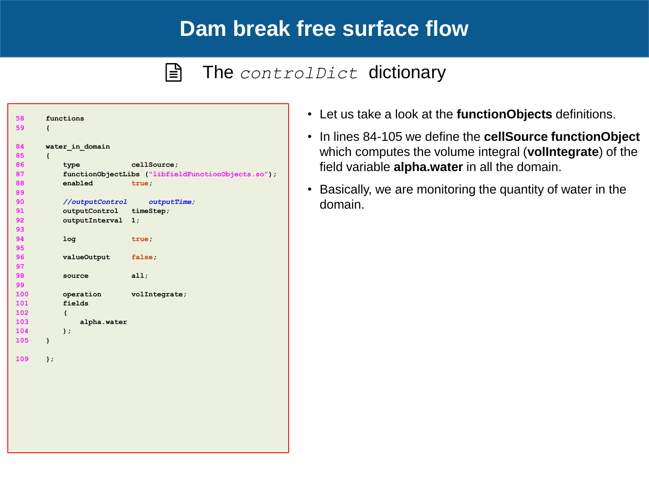#### $\vert \exists \vert$ The *controlDict* dictionary

| 58  |                   | functions               |                                                    |
|-----|-------------------|-------------------------|----------------------------------------------------|
| 59  | $\left\{ \right.$ |                         |                                                    |
| 84  |                   |                         |                                                    |
| 85  |                   | water in domain         |                                                    |
| 86  | $\mathbf{f}$      | type                    | cellSource;                                        |
| 87  |                   |                         | functionObjectLibs ("libfieldFunctionObjects.so"); |
| 88  |                   | enabled                 | true;                                              |
| 89  |                   |                         |                                                    |
| 90  |                   | //outputControl         | outputTime;                                        |
| 91  |                   | outputControl timeStep; |                                                    |
| 92  |                   | outputInterval          | 1;                                                 |
| 93  |                   |                         |                                                    |
| 94  |                   | 1 <sub>oq</sub>         | true;                                              |
| 95  |                   |                         |                                                    |
| 96  |                   | valueOutput             | false;                                             |
| 97  |                   |                         |                                                    |
| 98  |                   | source                  | all;                                               |
| 99  |                   |                         |                                                    |
| 100 |                   | operation               | volIntegrate;                                      |
| 101 |                   | fields                  |                                                    |
| 102 |                   | $\overline{(}$          |                                                    |
| 103 |                   | alpha.water             |                                                    |
| 104 |                   | $\mathbf{)}$ ;          |                                                    |
| 105 | $\mathbf{1}$      |                         |                                                    |
|     |                   |                         |                                                    |
| 109 | $\mathbf{E}$      |                         |                                                    |
|     |                   |                         |                                                    |
|     |                   |                         |                                                    |
|     |                   |                         |                                                    |
|     |                   |                         |                                                    |
|     |                   |                         |                                                    |
|     |                   |                         |                                                    |
|     |                   |                         |                                                    |
|     |                   |                         |                                                    |

- Let us take a look at the **functionObjects** definitions.
- In lines 84-105 we define the **cellSource functionObject**  which computes the volume integral (**volIntegrate**) of the field variable **alpha.water** in all the domain.
- Basically, we are monitoring the quantity of water in the domain.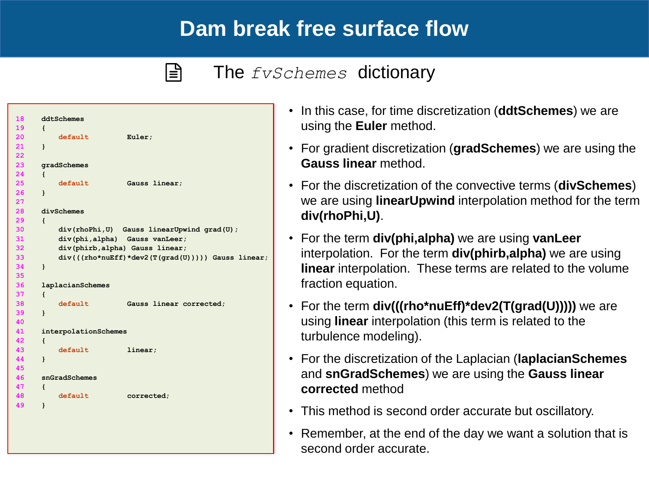### The *fvSchemes* dictionary

```
18 ddtSchemes
19 {
20 default Euler;
21 }
22 
23 gradSchemes
24 {
25 default Gauss linear;
26 }
27 
28 divSchemes
29 {
30 div(rhoPhi,U) Gauss linearUpwind grad(U);
31 div(phi,alpha) Gauss vanLeer;
32 div(phirb,alpha) Gauss linear;
33 div(((rho*nuEff)*dev2(T(grad(U))))) Gauss linear;
34 }
35 
36 laplacianSchemes
37 {
38 default Gauss linear corrected;
39 }
40 
41 interpolationSchemes
42 {
43 default linear;
44 }
45 
46 snGradSchemes
47 {
48 default corrected;
49 }
```
 $|\exists|$ 

- In this case, for time discretization (**ddtSchemes**) we are using the **Euler** method.
- For gradient discretization (**gradSchemes**) we are using the **Gauss linear** method.
- For the discretization of the convective terms (**divSchemes**) we are using **linearUpwind** interpolation method for the term **div(rhoPhi,U)**.
- For the term **div(phi,alpha)** we are using **vanLeer**  interpolation. For the term **div(phirb,alpha)** we are using **linear** interpolation. These terms are related to the volume fraction equation.
- For the term **div(((rho\*nuEff)\*dev2(T(grad(U)))))** we are using **linear** interpolation (this term is related to the turbulence modeling).
- For the discretization of the Laplacian (**laplacianSchemes** and **snGradSchemes**) we are using the **Gauss linear corrected** method
- This method is second order accurate but oscillatory.
- Remember, at the end of the day we want a solution that is second order accurate.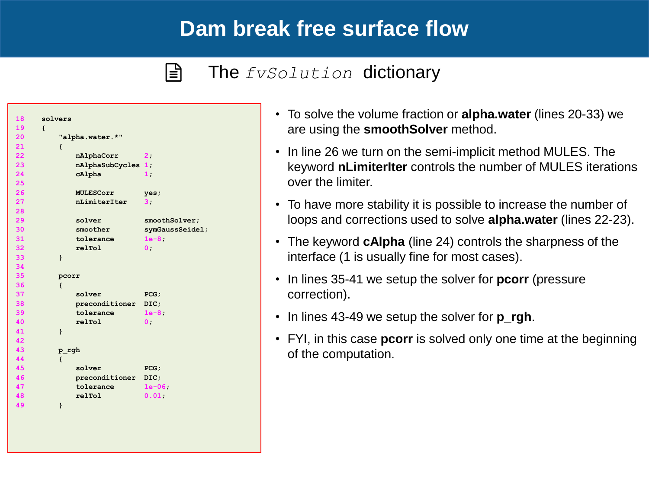### The *fvSolution* dictionary

```
18 solvers
19 {
20 "alpha.water.*"
21 {
22 nAlphaCorr 2;
23 nAlphaSubCycles 1;
24 cAlpha 1;
25 
26 MULESCorr yes;
27 nLimiterIter 3;
28 
29 solver smoothSolver;
30 smoother symGaussSeidel;
31 tolerance 1e-8;
32 relTol 0;
33 }
34 
35 pcorr
36 {
37 solver PCG;
38 preconditioner DIC;
39 tolerance 1e-8;
40 relTol 0;
41 }
42 
43 p_rgh
44 {
45 solver PCG;
46 preconditioner DIC;
47 tolerance 1e-06;
48 relTol 0.01;
49 }
```
 $|\exists|$ 

- To solve the volume fraction or **alpha.water** (lines 20-33) we are using the **smoothSolver** method.
- In line 26 we turn on the semi-implicit method MULES. The keyword **nLimiterIter** controls the number of MULES iterations over the limiter.
- To have more stability it is possible to increase the number of loops and corrections used to solve **alpha.water** (lines 22-23).
- The keyword **cAlpha** (line 24) controls the sharpness of the interface (1 is usually fine for most cases).
- In lines 35-41 we setup the solver for **pcorr** (pressure correction).
- In lines 43-49 we setup the solver for **p\_rgh**.
- FYI, in this case **pcorr** is solved only one time at the beginning of the computation.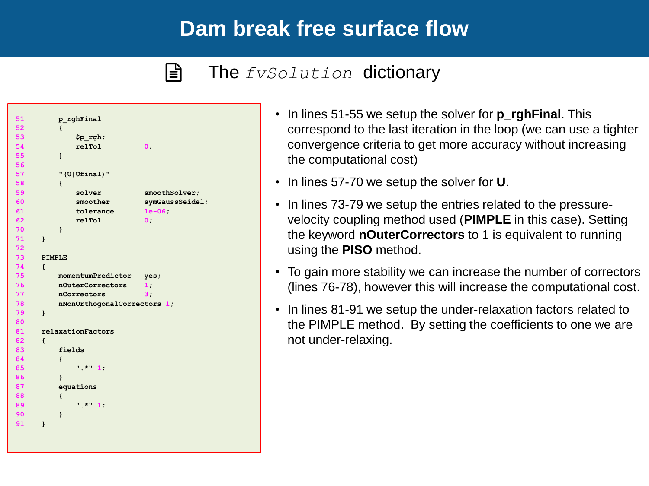#### $|\exists|$ The *fvSolution* dictionary

```
51 p_rghFinal
52 {
53 $p_rgh;
54 relTol 0;
55 }
56 
57 "(U|Ufinal)"
58 {
59 solver smoothSolver;
60 smoother symGaussSeidel;
61 tolerance 1e-06;
62 relTol 0;
70 }
71 }
72 
73 PIMPLE
74 {
75 momentumPredictor yes;
76 nOuterCorrectors 1;
77 nCorrectors 3;
78 nNonOrthogonalCorrectors 1;
79 }
80 
81 relaxationFactors
82 {
83 fields
84 {
85 ".*" 1;
86 }
87 equations
88 {
89 ".*" 1;
90 }
91 }
```
- In lines 51-55 we setup the solver for **p\_rghFinal**. This correspond to the last iteration in the loop (we can use a tighter convergence criteria to get more accuracy without increasing the computational cost)
- In lines 57-70 we setup the solver for **U**.
- In lines 73-79 we setup the entries related to the pressurevelocity coupling method used (**PIMPLE** in this case). Setting the keyword **nOuterCorrectors** to 1 is equivalent to running using the **PISO** method.
- To gain more stability we can increase the number of correctors (lines 76-78), however this will increase the computational cost.
- In lines 81-91 we setup the under-relaxation factors related to the PIMPLE method. By setting the coefficients to one we are not under-relaxing.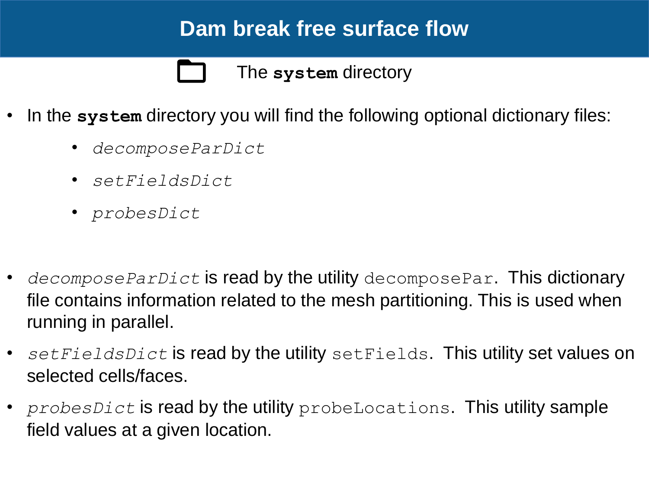The **system** directory

- In the **system** directory you will find the following optional dictionary files:
	- *decomposeParDict*
	- *setFieldsDict*
	- *probesDict*
- *decomposeParDict* is read by the utility decomposePar. This dictionary file contains information related to the mesh partitioning. This is used when running in parallel.
- *setFieldsDict* is read by the utility setFields. This utility set values on selected cells/faces.
- *probesDict* is read by the utility probeLocations. This utility sample field values at a given location.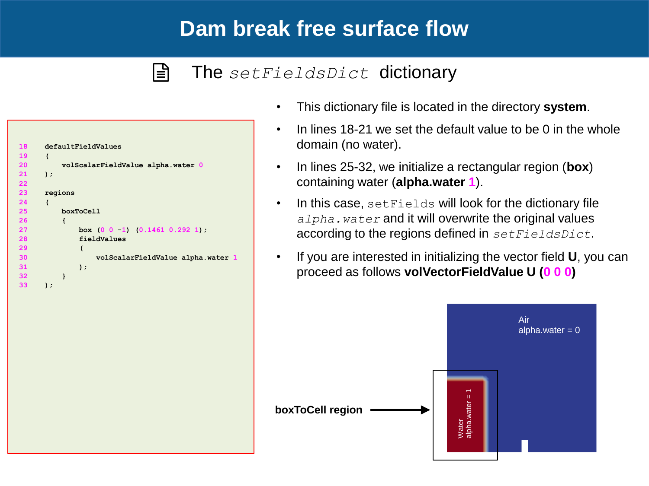### $|\exists$

### The *setFieldsDict* dictionary

| 18 | defaultFieldValues                              |
|----|-------------------------------------------------|
| 19 | (                                               |
| 20 | volScalarFieldValue alpha.water 0               |
| 21 | );                                              |
| 22 |                                                 |
| 23 | regions                                         |
| 24 | $\overline{\mathcal{L}}$                        |
| 25 | boxToCell                                       |
| 26 | ł                                               |
| 27 | box $(0 \t 0 \t -1)$ $(0.1461 \t 0.292 \t 1)$ ; |
| 28 | fieldValues                                     |
| 29 | $\overline{\mathcal{L}}$                        |
| 30 | volScalarFieldValue alpha.water 1               |
| 31 | $)$ ;                                           |
| 32 | ł                                               |
| 33 | );                                              |
|    |                                                 |

- This dictionary file is located in the directory **system**.
- In lines 18-21 we set the default value to be 0 in the whole domain (no water).
- In lines 25-32, we initialize a rectangular region (**box**) containing water (**alpha.water 1**).
- In this case, setFields will look for the dictionary file *alpha.water* and it will overwrite the original values according to the regions defined in *setFieldsDict*.
- If you are interested in initializing the vector field **U**, you can proceed as follows **volVectorFieldValue U (0 0 0)**

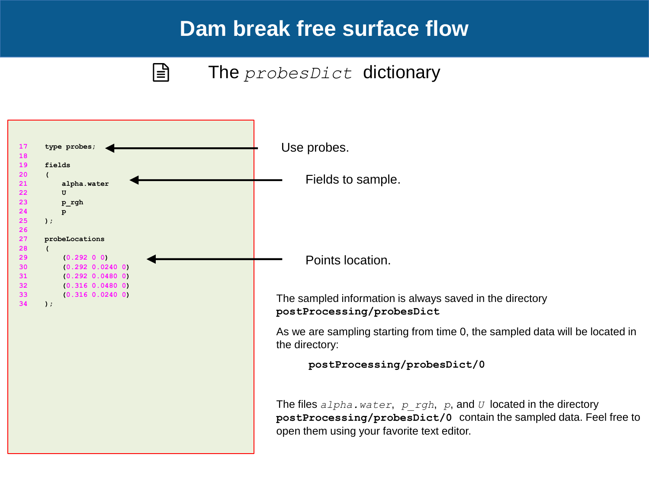$|\exists$ 

### The *probesDict* dictionary

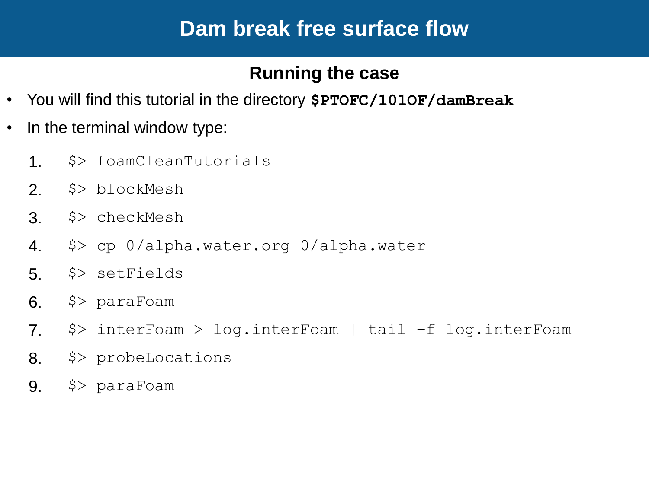### **Running the case**

- You will find this tutorial in the directory **\$PTOFC/101OF/damBreak**
- In the terminal window type:
	- 1.  $|\hat{\varphi}\rangle$  foamCleanTutorials
	- 2.  $|\$   $\gg$  blockMesh
	- $3.$   $\sqrt{5}$  checkMesh
	- 4.  $|\hat{S}\rangle$  cp 0/alpha.water.org 0/alpha.water
	- 5.  $|$  \$> setFields
	- 6.  $|$ \$> paraFoam
	- 7.  $|\hat{S}\rangle$  interFoam > log.interFoam | tail -f log.interFoam
	- 8. | \$> probeLocations
	- 9.  $|$ \$> paraFoam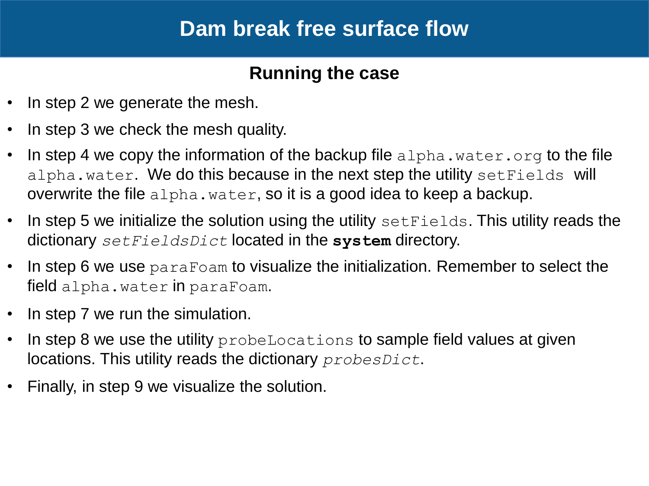### **Running the case**

- In step 2 we generate the mesh.
- In step 3 we check the mesh quality.
- In step 4 we copy the information of the backup file alpha.water.org to the file alpha.water. We do this because in the next step the utility setFields will overwrite the file alpha.water, so it is a good idea to keep a backup.
- In step 5 we initialize the solution using the utility set Fields. This utility reads the dictionary *setFieldsDict* located in the **system** directory.
- In step 6 we use paraFoam to visualize the initialization. Remember to select the field alpha.water in paraFoam.
- In step 7 we run the simulation.
- In step 8 we use the utility probeLocations to sample field values at given locations. This utility reads the dictionary *probesDict*.
- Finally, in step 9 we visualize the solution.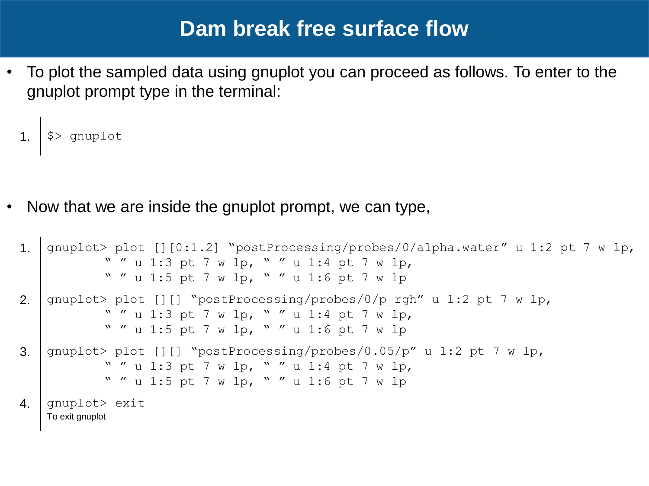• To plot the sampled data using gnuplot you can proceed as follows. To enter to the gnuplot prompt type in the terminal:

```
1. | $> gnuplot
```
• Now that we are inside the gnuplot prompt, we can type,

```
1. gnuplot> plot [][0:1.2] "postProcessing/probes/0/alpha.water" u 1:2 pt 7 w lp,
           " " u 1:3 pt 7 w lp, " " u 1:4 pt 7 w lp,
           " " u 1:5 pt 7 w lp, " " u 1:6 pt 7 w lp
2. qnuplot> plot [][] "postProcessing/probes/0/p_rgh" u 1:2 pt 7 w lp,
           " " u 1:3 pt 7 w lp, " " u 1:4 pt 7 w lp,
           " " u 1:5 pt 7 w lp, " " u 1:6 pt 7 w lp
3. gnuplot> plot [][] "postProcessing/probes/0.05/p" u 1:2 pt 7 w lp,
           " " u 1:3 pt 7 w lp, " " u 1:4 pt 7 w lp,
           " " u 1:5 pt 7 w lp, " " u 1:6 pt 7 w lp
4. | gnuplot> exit
   To exit gnuplot
```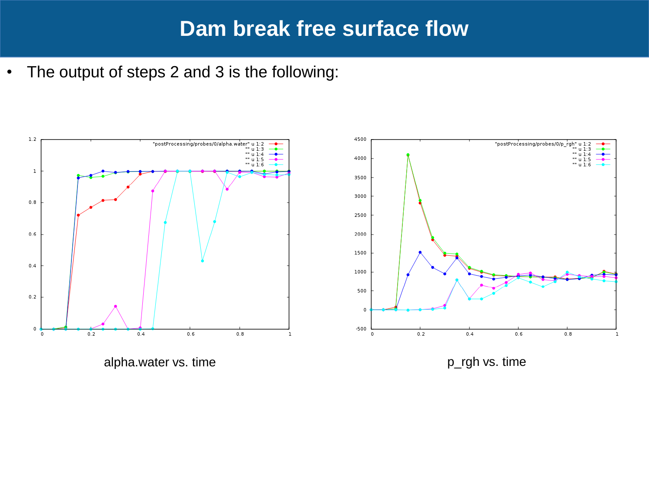• The output of steps 2 and 3 is the following:

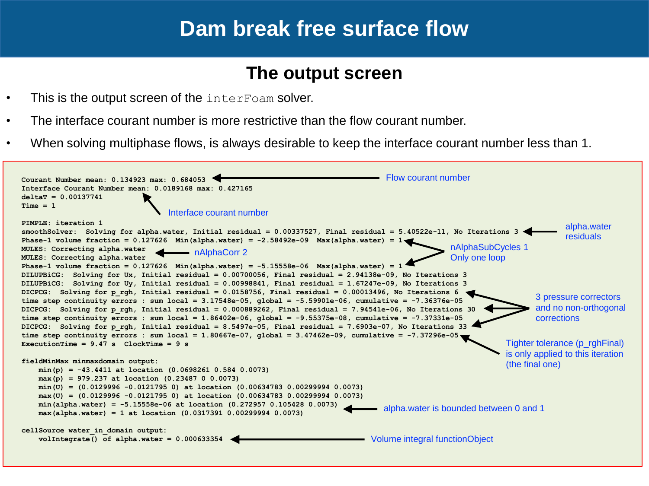### **The output screen**

- This is the output screen of the interFoam solver.
- The interface courant number is more restrictive than the flow courant number.
- When solving multiphase flows, is always desirable to keep the interface courant number less than 1.

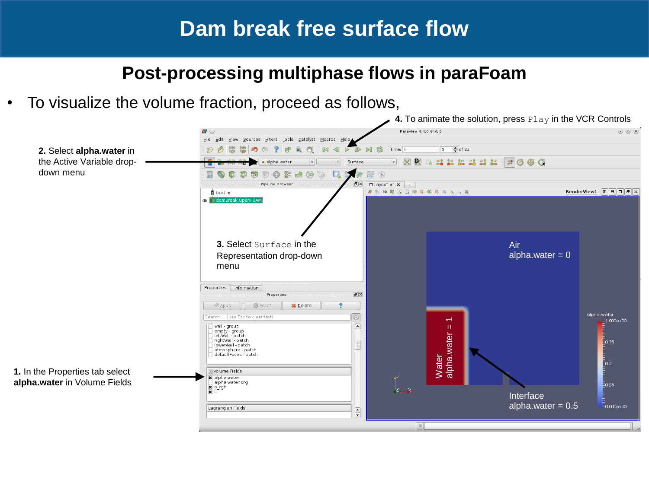### **Post-processing multiphase flows in paraFoam**

• To visualize the volume fraction, proceed as follows,

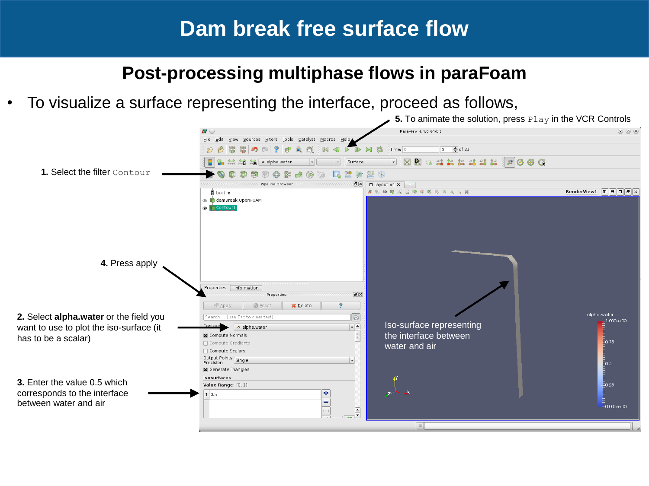### **Post-processing multiphase flows in paraFoam**

• To visualize a surface representing the interface, proceed as follows,

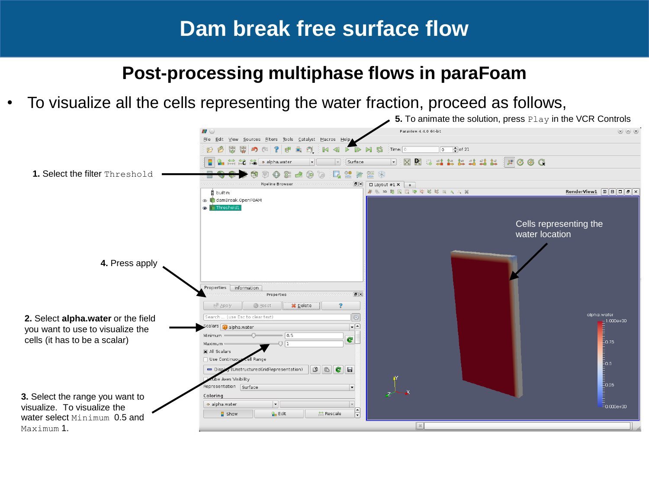### **Post-processing multiphase flows in paraFoam**

• To visualize all the cells representing the water fraction, proceed as follows,

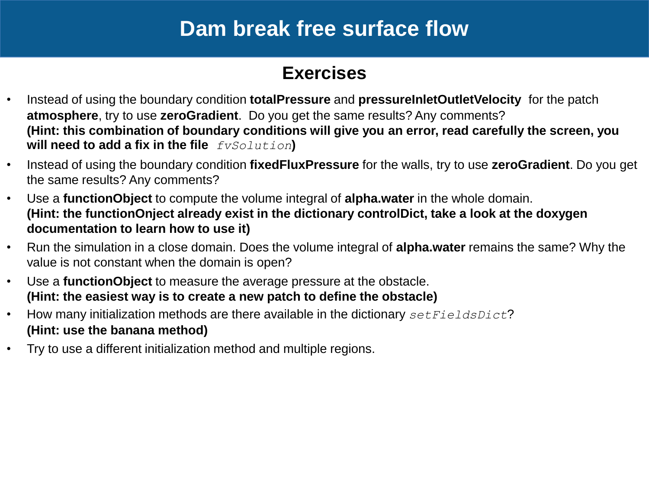### **Exercises**

- Instead of using the boundary condition **totalPressure** and **pressureInletOutletVelocity** for the patch **atmosphere**, try to use **zeroGradient**. Do you get the same results? Any comments? **(Hint: this combination of boundary conditions will give you an error, read carefully the screen, you will need to add a fix in the file** *fvSolution***)**
- Instead of using the boundary condition **fixedFluxPressure** for the walls, try to use **zeroGradient**. Do you get the same results? Any comments?
- Use a **functionObject** to compute the volume integral of **alpha.water** in the whole domain. **(Hint: the functionOnject already exist in the dictionary controlDict, take a look at the doxygen documentation to learn how to use it)**
- Run the simulation in a close domain. Does the volume integral of **alpha.water** remains the same? Why the value is not constant when the domain is open?
- Use a **functionObject** to measure the average pressure at the obstacle. **(Hint: the easiest way is to create a new patch to define the obstacle)**
- How many initialization methods are there available in the dictionary *setFieldsDict*? **(Hint: use the banana method)**
- Try to use a different initialization method and multiple regions.